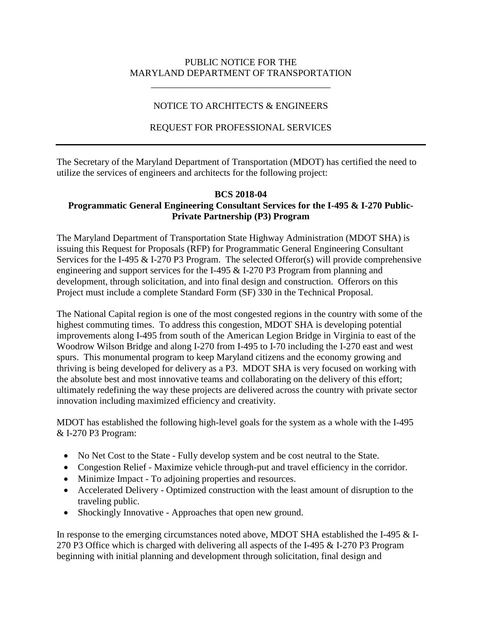#### PUBLIC NOTICE FOR THE MARYLAND DEPARTMENT OF TRANSPORTATION

\_\_\_\_\_\_\_\_\_\_\_\_\_\_\_\_\_\_\_\_\_\_\_\_\_\_\_\_\_\_\_\_\_\_\_\_\_\_

# NOTICE TO ARCHITECTS & ENGINEERS

# REQUEST FOR PROFESSIONAL SERVICES

The Secretary of the Maryland Department of Transportation (MDOT) has certified the need to utilize the services of engineers and architects for the following project:

#### **BCS 2018-04 Programmatic General Engineering Consultant Services for the I-495 & I-270 Public-Private Partnership (P3) Program**

The Maryland Department of Transportation State Highway Administration (MDOT SHA) is issuing this Request for Proposals (RFP) for Programmatic General Engineering Consultant Services for the I-495  $&$  I-270 P3 Program. The selected Offeror(s) will provide comprehensive engineering and support services for the I-495 & I-270 P3 Program from planning and development, through solicitation, and into final design and construction. Offerors on this Project must include a complete Standard Form (SF) 330 in the Technical Proposal.

The National Capital region is one of the most congested regions in the country with some of the highest commuting times. To address this congestion, MDOT SHA is developing potential improvements along I-495 from south of the American Legion Bridge in Virginia to east of the Woodrow Wilson Bridge and along I-270 from I-495 to I-70 including the I-270 east and west spurs. This monumental program to keep Maryland citizens and the economy growing and thriving is being developed for delivery as a P3. MDOT SHA is very focused on working with the absolute best and most innovative teams and collaborating on the delivery of this effort; ultimately redefining the way these projects are delivered across the country with private sector innovation including maximized efficiency and creativity.

MDOT has established the following high-level goals for the system as a whole with the I-495 & I-270 P3 Program:

- No Net Cost to the State Fully develop system and be cost neutral to the State.
- Congestion Relief Maximize vehicle through-put and travel efficiency in the corridor.
- Minimize Impact To adjoining properties and resources.
- Accelerated Delivery Optimized construction with the least amount of disruption to the traveling public.
- Shockingly Innovative Approaches that open new ground.

In response to the emerging circumstances noted above, MDOT SHA established the I-495 & I-270 P3 Office which is charged with delivering all aspects of the I-495 & I-270 P3 Program beginning with initial planning and development through solicitation, final design and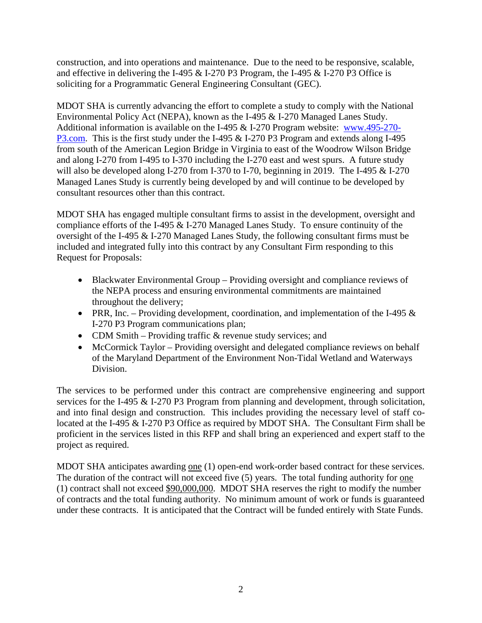construction, and into operations and maintenance. Due to the need to be responsive, scalable, and effective in delivering the I-495 & I-270 P3 Program, the I-495 & I-270 P3 Office is soliciting for a Programmatic General Engineering Consultant (GEC).

MDOT SHA is currently advancing the effort to complete a study to comply with the National Environmental Policy Act (NEPA), known as the I-495 & I-270 Managed Lanes Study. Additional information is available on the I-495 & I-270 Program website: [www.495-270-](http://www.495-270-p3.com/) [P3.com.](http://www.495-270-p3.com/) This is the first study under the I-495 & I-270 P3 Program and extends along I-495 from south of the American Legion Bridge in Virginia to east of the Woodrow Wilson Bridge and along I-270 from I-495 to I-370 including the I-270 east and west spurs. A future study will also be developed along I-270 from I-370 to I-70, beginning in 2019. The I-495 & I-270 Managed Lanes Study is currently being developed by and will continue to be developed by consultant resources other than this contract.

MDOT SHA has engaged multiple consultant firms to assist in the development, oversight and compliance efforts of the I-495 & I-270 Managed Lanes Study. To ensure continuity of the oversight of the I-495 & I-270 Managed Lanes Study, the following consultant firms must be included and integrated fully into this contract by any Consultant Firm responding to this Request for Proposals:

- Blackwater Environmental Group Providing oversight and compliance reviews of the NEPA process and ensuring environmental commitments are maintained throughout the delivery;
- PRR, Inc. Providing development, coordination, and implementation of the I-495  $\&$ I-270 P3 Program communications plan;
- CDM Smith Providing traffic & revenue study services; and
- McCormick Taylor Providing oversight and delegated compliance reviews on behalf of the Maryland Department of the Environment Non-Tidal Wetland and Waterways Division.

The services to be performed under this contract are comprehensive engineering and support services for the I-495 & I-270 P3 Program from planning and development, through solicitation, and into final design and construction. This includes providing the necessary level of staff colocated at the I-495 & I-270 P3 Office as required by MDOT SHA. The Consultant Firm shall be proficient in the services listed in this RFP and shall bring an experienced and expert staff to the project as required.

MDOT SHA anticipates awarding one (1) open-end work-order based contract for these services. The duration of the contract will not exceed five (5) years. The total funding authority for one (1) contract shall not exceed \$90,000,000. MDOT SHA reserves the right to modify the number of contracts and the total funding authority. No minimum amount of work or funds is guaranteed under these contracts. It is anticipated that the Contract will be funded entirely with State Funds.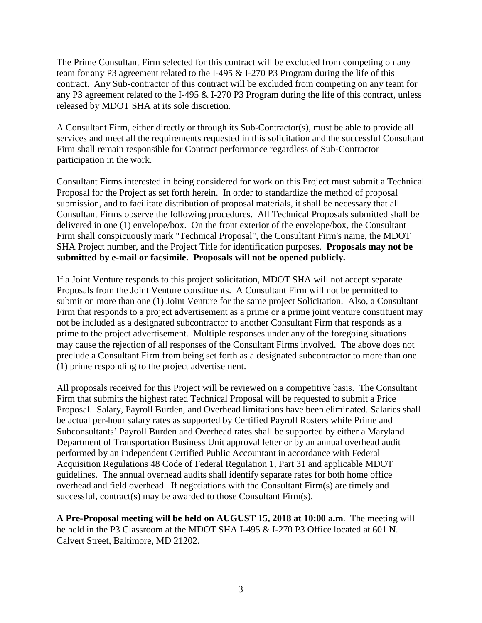The Prime Consultant Firm selected for this contract will be excluded from competing on any team for any P3 agreement related to the I-495 & I-270 P3 Program during the life of this contract. Any Sub-contractor of this contract will be excluded from competing on any team for any P3 agreement related to the I-495 & I-270 P3 Program during the life of this contract, unless released by MDOT SHA at its sole discretion.

A Consultant Firm, either directly or through its Sub-Contractor(s), must be able to provide all services and meet all the requirements requested in this solicitation and the successful Consultant Firm shall remain responsible for Contract performance regardless of Sub-Contractor participation in the work.

Consultant Firms interested in being considered for work on this Project must submit a Technical Proposal for the Project as set forth herein. In order to standardize the method of proposal submission, and to facilitate distribution of proposal materials, it shall be necessary that all Consultant Firms observe the following procedures. All Technical Proposals submitted shall be delivered in one (1) envelope/box. On the front exterior of the envelope/box, the Consultant Firm shall conspicuously mark "Technical Proposal", the Consultant Firm's name, the MDOT SHA Project number, and the Project Title for identification purposes. **Proposals may not be submitted by e-mail or facsimile. Proposals will not be opened publicly.**

If a Joint Venture responds to this project solicitation, MDOT SHA will not accept separate Proposals from the Joint Venture constituents. A Consultant Firm will not be permitted to submit on more than one (1) Joint Venture for the same project Solicitation. Also, a Consultant Firm that responds to a project advertisement as a prime or a prime joint venture constituent may not be included as a designated subcontractor to another Consultant Firm that responds as a prime to the project advertisement. Multiple responses under any of the foregoing situations may cause the rejection of all responses of the Consultant Firms involved. The above does not preclude a Consultant Firm from being set forth as a designated subcontractor to more than one (1) prime responding to the project advertisement.

All proposals received for this Project will be reviewed on a competitive basis. The Consultant Firm that submits the highest rated Technical Proposal will be requested to submit a Price Proposal. Salary, Payroll Burden, and Overhead limitations have been eliminated. Salaries shall be actual per-hour salary rates as supported by Certified Payroll Rosters while Prime and Subconsultants' Payroll Burden and Overhead rates shall be supported by either a Maryland Department of Transportation Business Unit approval letter or by an annual overhead audit performed by an independent Certified Public Accountant in accordance with Federal Acquisition Regulations 48 Code of Federal Regulation 1, Part 31 and applicable MDOT guidelines. The annual overhead audits shall identify separate rates for both home office overhead and field overhead. If negotiations with the Consultant Firm(s) are timely and successful, contract(s) may be awarded to those Consultant Firm(s).

**A Pre-Proposal meeting will be held on AUGUST 15, 2018 at 10:00 a.m**. The meeting will be held in the P3 Classroom at the MDOT SHA I-495 & I-270 P3 Office located at 601 N. Calvert Street, Baltimore, MD 21202.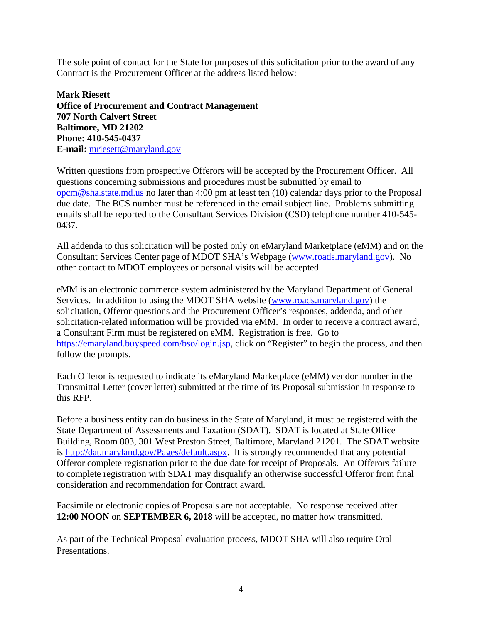The sole point of contact for the State for purposes of this solicitation prior to the award of any Contract is the Procurement Officer at the address listed below:

**Mark Riesett Office of Procurement and Contract Management 707 North Calvert Street Baltimore, MD 21202 Phone: 410-545-0437 E-mail:** [mriesett@maryland.gov](mailto:mriesett@maryland.gov)

Written questions from prospective Offerors will be accepted by the Procurement Officer. All questions concerning submissions and procedures must be submitted by email to [opcm@sha.state.md.us](mailto:opcm@sha.state.md.us) no later than 4:00 pm at least ten (10) calendar days prior to the Proposal due date. The BCS number must be referenced in the email subject line. Problems submitting emails shall be reported to the Consultant Services Division (CSD) telephone number 410-545- 0437.

All addenda to this solicitation will be posted only on eMaryland Marketplace (eMM) and on the Consultant Services Center page of MDOT SHA's Webpage [\(www.roads.maryland.gov\)](http://www.roads.maryland.gov/). No other contact to MDOT employees or personal visits will be accepted.

eMM is an electronic commerce system administered by the Maryland Department of General Services. In addition to using the MDOT SHA website [\(www.roads.maryland.gov\)](http://www.roads.maryland.gov/) the solicitation, Offeror questions and the Procurement Officer's responses, addenda, and other solicitation-related information will be provided via eMM. In order to receive a contract award, a Consultant Firm must be registered on eMM. Registration is free. Go to [https://emaryland.buyspeed.com/bso/login.jsp,](https://emaryland.buyspeed.com/bso/login.jsp) click on "Register" to begin the process, and then follow the prompts.

Each Offeror is requested to indicate its eMaryland Marketplace (eMM) vendor number in the Transmittal Letter (cover letter) submitted at the time of its Proposal submission in response to this RFP.

Before a business entity can do business in the State of Maryland, it must be registered with the State Department of Assessments and Taxation (SDAT). SDAT is located at State Office Building, Room 803, 301 West Preston Street, Baltimore, Maryland 21201. The SDAT website is [http://dat.maryland.gov/Pages/default.aspx.](http://dat.maryland.gov/Pages/default.aspx) It is strongly recommended that any potential Offeror complete registration prior to the due date for receipt of Proposals. An Offerors failure to complete registration with SDAT may disqualify an otherwise successful Offeror from final consideration and recommendation for Contract award.

Facsimile or electronic copies of Proposals are not acceptable. No response received after **12:00 NOON** on **SEPTEMBER 6, 2018** will be accepted, no matter how transmitted.

As part of the Technical Proposal evaluation process, MDOT SHA will also require Oral Presentations.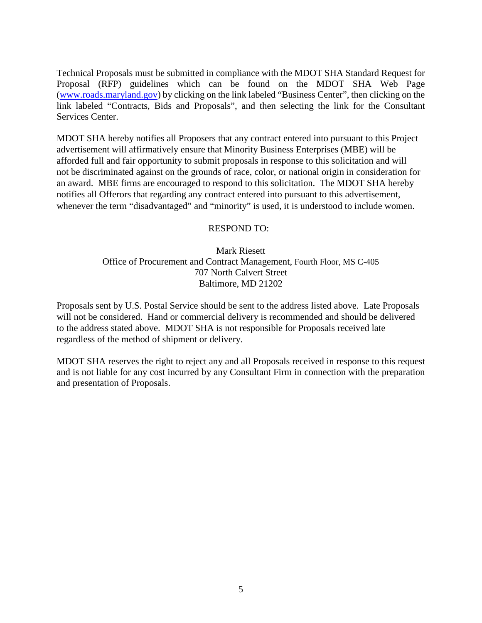Technical Proposals must be submitted in compliance with the MDOT SHA Standard Request for Proposal (RFP) guidelines which can be found on the MDOT SHA Web Page [\(www.roads.maryland.gov\)](http://www.roads.maryland.gov/) by clicking on the link labeled "Business Center", then clicking on the link labeled "Contracts, Bids and Proposals", and then selecting the link for the Consultant Services Center.

MDOT SHA hereby notifies all Proposers that any contract entered into pursuant to this Project advertisement will affirmatively ensure that Minority Business Enterprises (MBE) will be afforded full and fair opportunity to submit proposals in response to this solicitation and will not be discriminated against on the grounds of race, color, or national origin in consideration for an award. MBE firms are encouraged to respond to this solicitation. The MDOT SHA hereby notifies all Offerors that regarding any contract entered into pursuant to this advertisement, whenever the term "disadvantaged" and "minority" is used, it is understood to include women.

#### RESPOND TO:

Mark Riesett Office of Procurement and Contract Management, Fourth Floor, MS C-405 707 North Calvert Street Baltimore, MD 21202

Proposals sent by U.S. Postal Service should be sent to the address listed above. Late Proposals will not be considered. Hand or commercial delivery is recommended and should be delivered to the address stated above. MDOT SHA is not responsible for Proposals received late regardless of the method of shipment or delivery.

MDOT SHA reserves the right to reject any and all Proposals received in response to this request and is not liable for any cost incurred by any Consultant Firm in connection with the preparation and presentation of Proposals.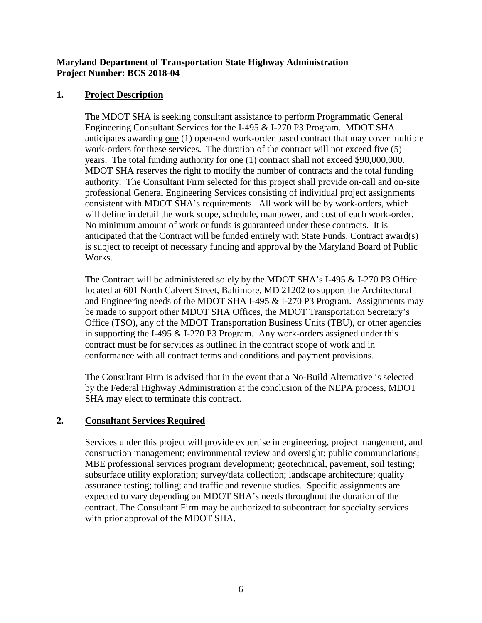#### **Maryland Department of Transportation State Highway Administration Project Number: BCS 2018-04**

## **1. Project Description**

The MDOT SHA is seeking consultant assistance to perform Programmatic General Engineering Consultant Services for the I-495 & I-270 P3 Program. MDOT SHA anticipates awarding one (1) open-end work-order based contract that may cover multiple work-orders for these services. The duration of the contract will not exceed five (5) years. The total funding authority for one (1) contract shall not exceed \$90,000,000. MDOT SHA reserves the right to modify the number of contracts and the total funding authority. The Consultant Firm selected for this project shall provide on-call and on-site professional General Engineering Services consisting of individual project assignments consistent with MDOT SHA's requirements. All work will be by work-orders, which will define in detail the work scope, schedule, manpower, and cost of each work-order. No minimum amount of work or funds is guaranteed under these contracts. It is anticipated that the Contract will be funded entirely with State Funds. Contract award(s) is subject to receipt of necessary funding and approval by the Maryland Board of Public Works.

The Contract will be administered solely by the MDOT SHA's I-495 & I-270 P3 Office located at 601 North Calvert Street, Baltimore, MD 21202 to support the Architectural and Engineering needs of the MDOT SHA I-495 & I-270 P3 Program. Assignments may be made to support other MDOT SHA Offices, the MDOT Transportation Secretary's Office (TSO), any of the MDOT Transportation Business Units (TBU), or other agencies in supporting the I-495  $&$  I-270 P3 Program. Any work-orders assigned under this contract must be for services as outlined in the contract scope of work and in conformance with all contract terms and conditions and payment provisions.

The Consultant Firm is advised that in the event that a No-Build Alternative is selected by the Federal Highway Administration at the conclusion of the NEPA process, MDOT SHA may elect to terminate this contract.

## **2. Consultant Services Required**

Services under this project will provide expertise in engineering, project mangement, and construction management; environmental review and oversight; public communciations; MBE professional services program development; geotechnical, pavement, soil testing; subsurface utility exploration; survey/data collection; landscape architecture; quality assurance testing; tolling; and traffic and revenue studies. Specific assignments are expected to vary depending on MDOT SHA's needs throughout the duration of the contract. The Consultant Firm may be authorized to subcontract for specialty services with prior approval of the MDOT SHA.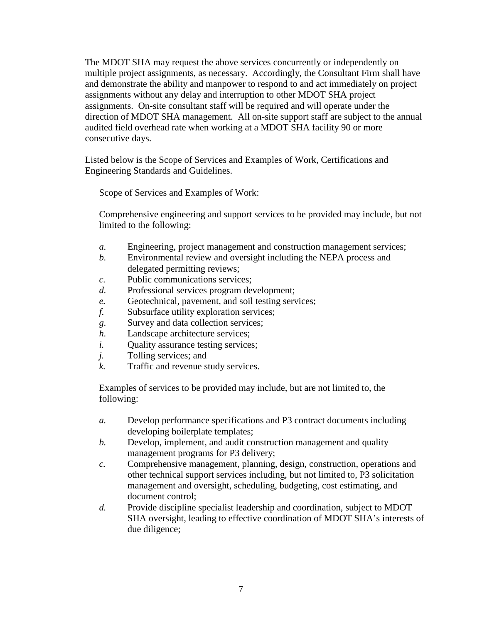The MDOT SHA may request the above services concurrently or independently on multiple project assignments, as necessary. Accordingly, the Consultant Firm shall have and demonstrate the ability and manpower to respond to and act immediately on project assignments without any delay and interruption to other MDOT SHA project assignments. On-site consultant staff will be required and will operate under the direction of MDOT SHA management. All on-site support staff are subject to the annual audited field overhead rate when working at a MDOT SHA facility 90 or more consecutive days.

Listed below is the Scope of Services and Examples of Work, Certifications and Engineering Standards and Guidelines.

Scope of Services and Examples of Work:

Comprehensive engineering and support services to be provided may include, but not limited to the following:

- *a.* Engineering, project management and construction management services;
- *b.* Environmental review and oversight including the NEPA process and delegated permitting reviews;
- *c.* Public communications services;
- *d.* Professional services program development;
- *e.* Geotechnical, pavement, and soil testing services;
- *f.* Subsurface utility exploration services;
- *g.* Survey and data collection services;
- *h.* Landscape architecture services;
- *i.* Ouality assurance testing services;
- *j.* Tolling services; and
- *k.* Traffic and revenue study services.

Examples of services to be provided may include, but are not limited to, the following:

- *a.* Develop performance specifications and P3 contract documents including developing boilerplate templates;
- *b.* Develop, implement, and audit construction management and quality management programs for P3 delivery;
- *c.* Comprehensive management, planning, design, construction, operations and other technical support services including, but not limited to, P3 solicitation management and oversight, scheduling, budgeting, cost estimating, and document control;
- *d.* Provide discipline specialist leadership and coordination, subject to MDOT SHA oversight, leading to effective coordination of MDOT SHA's interests of due diligence;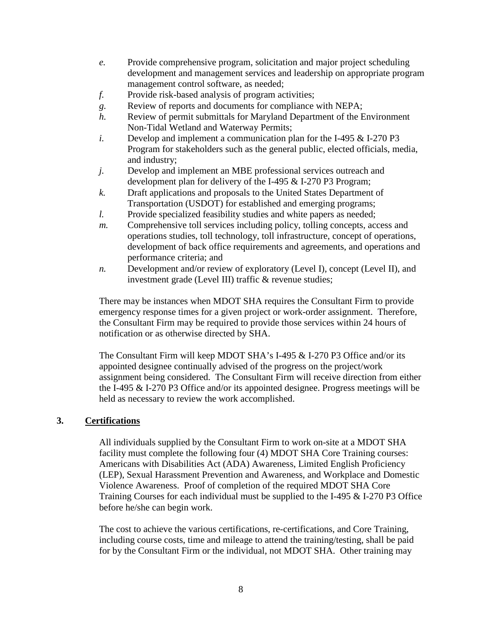- *e.* Provide comprehensive program, solicitation and major project scheduling development and management services and leadership on appropriate program management control software, as needed;
- *f.* Provide risk-based analysis of program activities;
- *g.* Review of reports and documents for compliance with NEPA;
- *h.* Review of permit submittals for Maryland Department of the Environment Non-Tidal Wetland and Waterway Permits;
- *i.* Develop and implement a communication plan for the I-495 & I-270 P3 Program for stakeholders such as the general public, elected officials, media, and industry;
- *j.* Develop and implement an MBE professional services outreach and development plan for delivery of the I-495 & I-270 P3 Program;
- *k.* Draft applications and proposals to the United States Department of Transportation (USDOT) for established and emerging programs;
- *l.* Provide specialized feasibility studies and white papers as needed;
- *m.* Comprehensive toll services including policy, tolling concepts, access and operations studies, toll technology, toll infrastructure, concept of operations, development of back office requirements and agreements, and operations and performance criteria; and
- *n.* Development and/or review of exploratory (Level I), concept (Level II), and investment grade (Level III) traffic & revenue studies;

There may be instances when MDOT SHA requires the Consultant Firm to provide emergency response times for a given project or work-order assignment. Therefore, the Consultant Firm may be required to provide those services within 24 hours of notification or as otherwise directed by SHA.

The Consultant Firm will keep MDOT SHA's I-495 & I-270 P3 Office and/or its appointed designee continually advised of the progress on the project/work assignment being considered. The Consultant Firm will receive direction from either the I-495 & I-270 P3 Office and/or its appointed designee. Progress meetings will be held as necessary to review the work accomplished.

## **3. Certifications**

All individuals supplied by the Consultant Firm to work on-site at a MDOT SHA facility must complete the following four (4) MDOT SHA Core Training courses: Americans with Disabilities Act (ADA) Awareness, Limited English Proficiency (LEP), Sexual Harassment Prevention and Awareness, and Workplace and Domestic Violence Awareness. Proof of completion of the required MDOT SHA Core Training Courses for each individual must be supplied to the I-495 & I-270 P3 Office before he/she can begin work.

The cost to achieve the various certifications, re-certifications, and Core Training, including course costs, time and mileage to attend the training/testing, shall be paid for by the Consultant Firm or the individual, not MDOT SHA. Other training may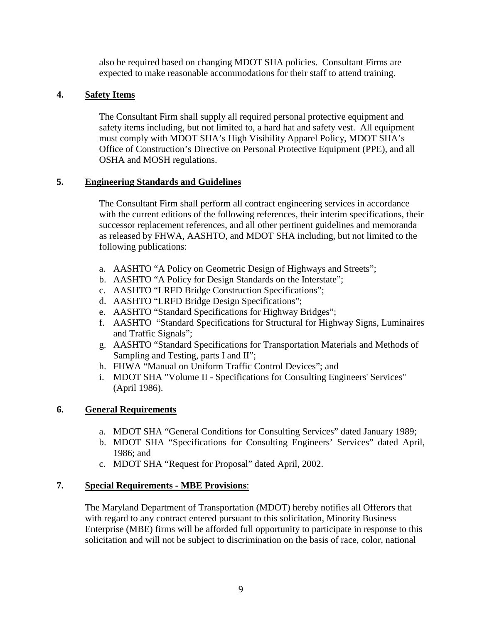also be required based on changing MDOT SHA policies. Consultant Firms are expected to make reasonable accommodations for their staff to attend training.

## **4. Safety Items**

The Consultant Firm shall supply all required personal protective equipment and safety items including, but not limited to, a hard hat and safety vest. All equipment must comply with MDOT SHA's High Visibility Apparel Policy, MDOT SHA's Office of Construction's Directive on Personal Protective Equipment (PPE), and all OSHA and MOSH regulations.

## **5. Engineering Standards and Guidelines**

The Consultant Firm shall perform all contract engineering services in accordance with the current editions of the following references, their interim specifications, their successor replacement references, and all other pertinent guidelines and memoranda as released by FHWA, AASHTO, and MDOT SHA including, but not limited to the following publications:

- a. AASHTO "A Policy on Geometric Design of Highways and Streets";
- b. AASHTO "A Policy for Design Standards on the Interstate";
- c. AASHTO "LRFD Bridge Construction Specifications";
- d. AASHTO "LRFD Bridge Design Specifications";
- e. AASHTO "Standard Specifications for Highway Bridges";
- f. AASHTO "Standard Specifications for Structural for Highway Signs, Luminaires and Traffic Signals";
- g. AASHTO "Standard Specifications for Transportation Materials and Methods of Sampling and Testing, parts I and II";
- h. FHWA "Manual on Uniform Traffic Control Devices"; and
- i. MDOT SHA "Volume II Specifications for Consulting Engineers' Services" (April 1986).

## **6. General Requirements**

- a. MDOT SHA "General Conditions for Consulting Services" dated January 1989;
- b. MDOT SHA "Specifications for Consulting Engineers' Services" dated April, 1986; and
- c. MDOT SHA "Request for Proposal" dated April, 2002.

## **7. Special Requirements - MBE Provisions**:

The Maryland Department of Transportation (MDOT) hereby notifies all Offerors that with regard to any contract entered pursuant to this solicitation, Minority Business Enterprise (MBE) firms will be afforded full opportunity to participate in response to this solicitation and will not be subject to discrimination on the basis of race, color, national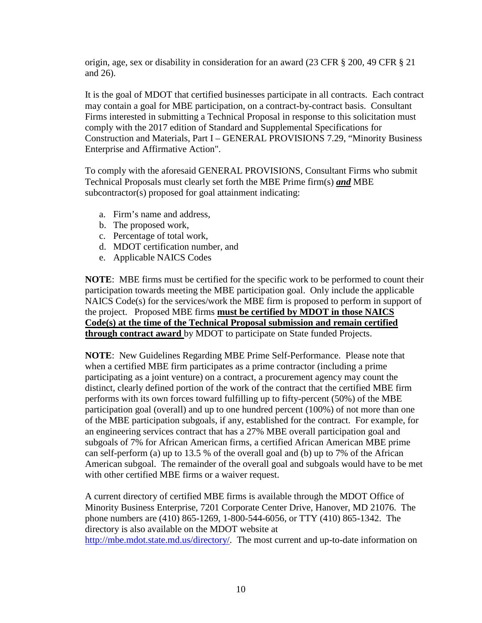origin, age, sex or disability in consideration for an award (23 CFR § 200, 49 CFR § 21 and 26).

It is the goal of MDOT that certified businesses participate in all contracts. Each contract may contain a goal for MBE participation, on a contract-by-contract basis. Consultant Firms interested in submitting a Technical Proposal in response to this solicitation must comply with the 2017 edition of Standard and Supplemental Specifications for Construction and Materials, Part I – GENERAL PROVISIONS 7.29, "Minority Business Enterprise and Affirmative Action".

To comply with the aforesaid GENERAL PROVISIONS, Consultant Firms who submit Technical Proposals must clearly set forth the MBE Prime firm(s) *and* MBE subcontractor(s) proposed for goal attainment indicating:

- a. Firm's name and address,
- b. The proposed work,
- c. Percentage of total work,
- d. MDOT certification number, and
- e. Applicable NAICS Codes

**NOTE**: MBE firms must be certified for the specific work to be performed to count their participation towards meeting the MBE participation goal. Only include the applicable NAICS Code(s) for the services/work the MBE firm is proposed to perform in support of the project. Proposed MBE firms **must be certified by MDOT in those NAICS Code(s) at the time of the Technical Proposal submission and remain certified through contract award** by MDOT to participate on State funded Projects.

**NOTE**: New Guidelines Regarding MBE Prime Self-Performance. Please note that when a certified MBE firm participates as a prime contractor (including a prime participating as a joint venture) on a contract, a procurement agency may count the distinct, clearly defined portion of the work of the contract that the certified MBE firm performs with its own forces toward fulfilling up to fifty-percent (50%) of the MBE participation goal (overall) and up to one hundred percent (100%) of not more than one of the MBE participation subgoals, if any, established for the contract. For example, for an engineering services contract that has a 27% MBE overall participation goal and subgoals of 7% for African American firms, a certified African American MBE prime can self-perform (a) up to 13.5 % of the overall goal and (b) up to 7% of the African American subgoal. The remainder of the overall goal and subgoals would have to be met with other certified MBE firms or a waiver request.

A current directory of certified MBE firms is available through the MDOT Office of Minority Business Enterprise, 7201 Corporate Center Drive, Hanover, MD 21076. The phone numbers are (410) 865-1269, 1-800-544-6056, or TTY (410) 865-1342. The directory is also available on the MDOT website at [http://mbe.mdot.state.md.us/directory/.](http://mbe.mdot.state.md.us/directory/) The most current and up-to-date information on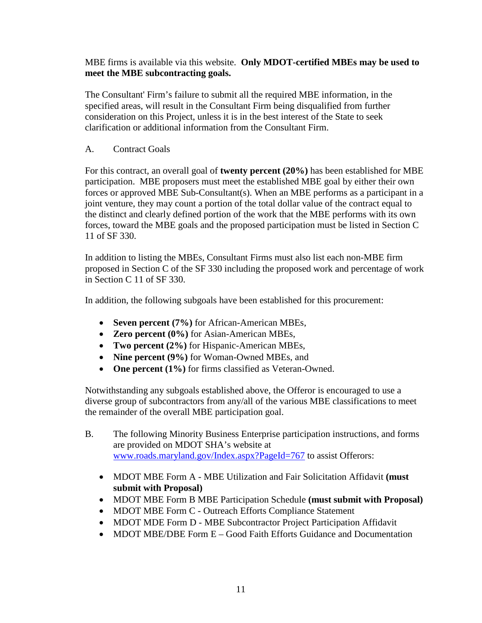MBE firms is available via this website. **Only MDOT-certified MBEs may be used to meet the MBE subcontracting goals.**

The Consultant' Firm's failure to submit all the required MBE information, in the specified areas, will result in the Consultant Firm being disqualified from further consideration on this Project, unless it is in the best interest of the State to seek clarification or additional information from the Consultant Firm.

A. Contract Goals

For this contract, an overall goal of **twenty percent (20%)** has been established for MBE participation.MBE proposers must meet the established MBE goal by either their own forces or approved MBE Sub-Consultant(s). When an MBE performs as a participant in a joint venture, they may count a portion of the total dollar value of the contract equal to the distinct and clearly defined portion of the work that the MBE performs with its own forces, toward the MBE goals and the proposed participation must be listed in Section C 11 of SF 330.

In addition to listing the MBEs, Consultant Firms must also list each non-MBE firm proposed in Section C of the SF 330 including the proposed work and percentage of work in Section C 11 of SF 330.

In addition, the following subgoals have been established for this procurement:

- **Seven percent (7%)** for African-American MBEs,
- **Zero percent (0%)** for Asian-American MBEs,
- **Two percent (2%)** for Hispanic-American MBEs,
- **Nine percent (9%)** for Woman-Owned MBEs, and
- **One percent (1%)** for firms classified as Veteran-Owned.

Notwithstanding any subgoals established above, the Offeror is encouraged to use a diverse group of subcontractors from any/all of the various MBE classifications to meet the remainder of the overall MBE participation goal.

- B. The following Minority Business Enterprise participation instructions, and forms are provided on MDOT SHA's website at [www.roads.maryland.gov/Index.aspx?PageId=767](http://www.roads.maryland.gov/Index.aspx?PageId=767) to assist Offerors:
	- MDOT MBE Form A MBE Utilization and Fair Solicitation Affidavit **(must submit with Proposal)**
	- MDOT MBE Form B MBE Participation Schedule **(must submit with Proposal)**
	- MDOT MBE Form C Outreach Efforts Compliance Statement
	- MDOT MDE Form D MBE Subcontractor Project Participation Affidavit
	- MDOT MBE/DBE Form E Good Faith Efforts Guidance and Documentation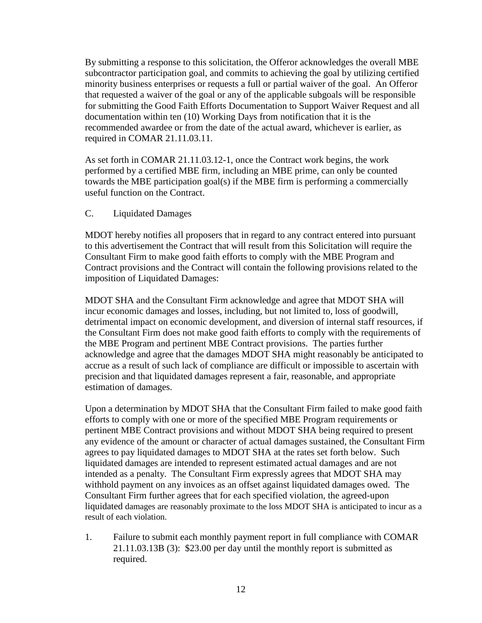By submitting a response to this solicitation, the Offeror acknowledges the overall MBE subcontractor participation goal, and commits to achieving the goal by utilizing certified minority business enterprises or requests a full or partial waiver of the goal. An Offeror that requested a waiver of the goal or any of the applicable subgoals will be responsible for submitting the Good Faith Efforts Documentation to Support Waiver Request and all documentation within ten (10) Working Days from notification that it is the recommended awardee or from the date of the actual award, whichever is earlier, as required in COMAR 21.11.03.11.

As set forth in COMAR 21.11.03.12-1, once the Contract work begins, the work performed by a certified MBE firm, including an MBE prime, can only be counted towards the MBE participation goal(s) if the MBE firm is performing a commercially useful function on the Contract.

#### C. Liquidated Damages

MDOT hereby notifies all proposers that in regard to any contract entered into pursuant to this advertisement the Contract that will result from this Solicitation will require the Consultant Firm to make good faith efforts to comply with the MBE Program and Contract provisions and the Contract will contain the following provisions related to the imposition of Liquidated Damages:

MDOT SHA and the Consultant Firm acknowledge and agree that MDOT SHA will incur economic damages and losses, including, but not limited to, loss of goodwill, detrimental impact on economic development, and diversion of internal staff resources, if the Consultant Firm does not make good faith efforts to comply with the requirements of the MBE Program and pertinent MBE Contract provisions. The parties further acknowledge and agree that the damages MDOT SHA might reasonably be anticipated to accrue as a result of such lack of compliance are difficult or impossible to ascertain with precision and that liquidated damages represent a fair, reasonable, and appropriate estimation of damages.

Upon a determination by MDOT SHA that the Consultant Firm failed to make good faith efforts to comply with one or more of the specified MBE Program requirements or pertinent MBE Contract provisions and without MDOT SHA being required to present any evidence of the amount or character of actual damages sustained, the Consultant Firm agrees to pay liquidated damages to MDOT SHA at the rates set forth below. Such liquidated damages are intended to represent estimated actual damages and are not intended as a penalty. The Consultant Firm expressly agrees that MDOT SHA may withhold payment on any invoices as an offset against liquidated damages owed. The Consultant Firm further agrees that for each specified violation, the agreed-upon liquidated damages are reasonably proximate to the loss MDOT SHA is anticipated to incur as a result of each violation.

1. Failure to submit each monthly payment report in full compliance with COMAR 21.11.03.13B (3): \$23.00 per day until the monthly report is submitted as required.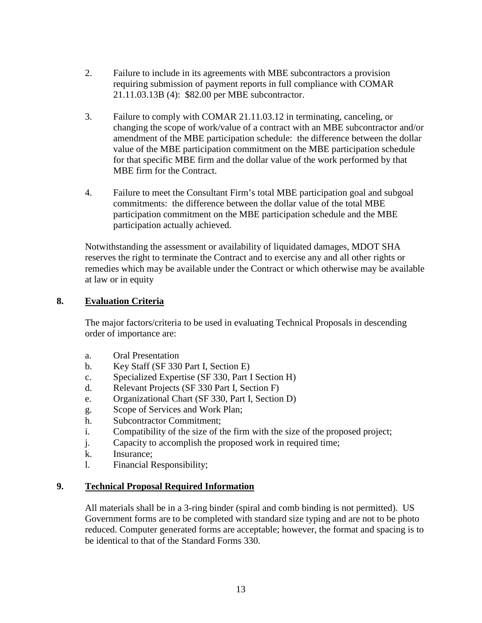- 2. Failure to include in its agreements with MBE subcontractors a provision requiring submission of payment reports in full compliance with COMAR 21.11.03.13B (4): \$82.00 per MBE subcontractor.
- 3. Failure to comply with COMAR 21.11.03.12 in terminating, canceling, or changing the scope of work/value of a contract with an MBE subcontractor and/or amendment of the MBE participation schedule: the difference between the dollar value of the MBE participation commitment on the MBE participation schedule for that specific MBE firm and the dollar value of the work performed by that MBE firm for the Contract.
- 4. Failure to meet the Consultant Firm's total MBE participation goal and subgoal commitments: the difference between the dollar value of the total MBE participation commitment on the MBE participation schedule and the MBE participation actually achieved.

Notwithstanding the assessment or availability of liquidated damages, MDOT SHA reserves the right to terminate the Contract and to exercise any and all other rights or remedies which may be available under the Contract or which otherwise may be available at law or in equity

## **8. Evaluation Criteria**

The major factors/criteria to be used in evaluating Technical Proposals in descending order of importance are:

- a. Oral Presentation
- b. Key Staff (SF 330 Part I, Section E)
- c. Specialized Expertise (SF 330, Part I Section H)
- d. Relevant Projects (SF 330 Part I, Section F)
- e. Organizational Chart (SF 330, Part I, Section D)
- g. Scope of Services and Work Plan;
- h. Subcontractor Commitment;
- i. Compatibility of the size of the firm with the size of the proposed project;
- j. Capacity to accomplish the proposed work in required time;
- k. Insurance;
- l. Financial Responsibility;

## **9. Technical Proposal Required Information**

All materials shall be in a 3-ring binder (spiral and comb binding is not permitted). US Government forms are to be completed with standard size typing and are not to be photo reduced. Computer generated forms are acceptable; however, the format and spacing is to be identical to that of the Standard Forms 330.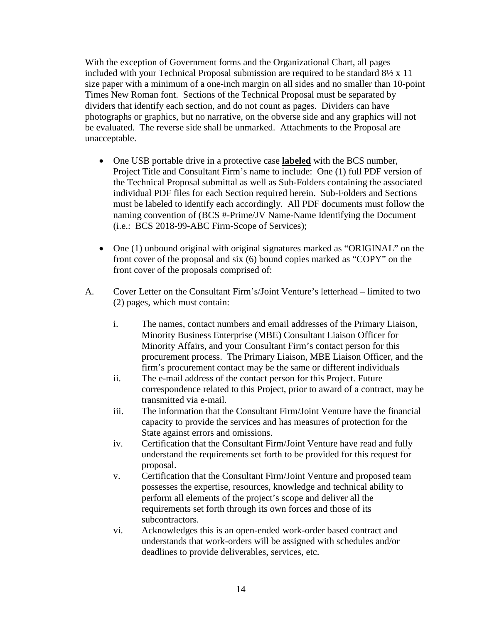With the exception of Government forms and the Organizational Chart, all pages included with your Technical Proposal submission are required to be standard 8½ x 11 size paper with a minimum of a one-inch margin on all sides and no smaller than 10-point Times New Roman font. Sections of the Technical Proposal must be separated by dividers that identify each section, and do not count as pages. Dividers can have photographs or graphics, but no narrative, on the obverse side and any graphics will not be evaluated. The reverse side shall be unmarked. Attachments to the Proposal are unacceptable.

- One USB portable drive in a protective case **labeled** with the BCS number, Project Title and Consultant Firm's name to include: One (1) full PDF version of the Technical Proposal submittal as well as Sub-Folders containing the associated individual PDF files for each Section required herein. Sub-Folders and Sections must be labeled to identify each accordingly. All PDF documents must follow the naming convention of (BCS #-Prime/JV Name-Name Identifying the Document (i.e.: BCS 2018-99-ABC Firm-Scope of Services);
- One (1) unbound original with original signatures marked as "ORIGINAL" on the front cover of the proposal and six (6) bound copies marked as "COPY" on the front cover of the proposals comprised of:
- A. Cover Letter on the Consultant Firm's/Joint Venture's letterhead limited to two (2) pages, which must contain:
	- i. The names, contact numbers and email addresses of the Primary Liaison, Minority Business Enterprise (MBE) Consultant Liaison Officer for Minority Affairs, and your Consultant Firm's contact person for this procurement process. The Primary Liaison, MBE Liaison Officer, and the firm's procurement contact may be the same or different individuals
	- ii. The e-mail address of the contact person for this Project. Future correspondence related to this Project, prior to award of a contract, may be transmitted via e-mail.
	- iii. The information that the Consultant Firm/Joint Venture have the financial capacity to provide the services and has measures of protection for the State against errors and omissions.
	- iv. Certification that the Consultant Firm/Joint Venture have read and fully understand the requirements set forth to be provided for this request for proposal.
	- v. Certification that the Consultant Firm/Joint Venture and proposed team possesses the expertise, resources, knowledge and technical ability to perform all elements of the project's scope and deliver all the requirements set forth through its own forces and those of its subcontractors.
	- vi. Acknowledges this is an open-ended work-order based contract and understands that work-orders will be assigned with schedules and/or deadlines to provide deliverables, services, etc.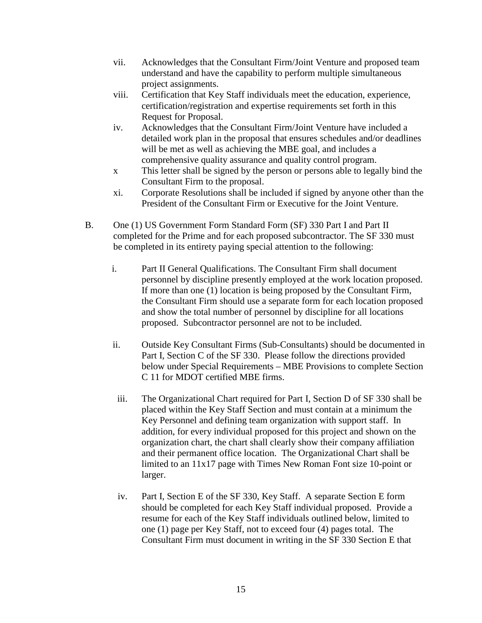- vii. Acknowledges that the Consultant Firm/Joint Venture and proposed team understand and have the capability to perform multiple simultaneous project assignments.
- viii. Certification that Key Staff individuals meet the education, experience, certification/registration and expertise requirements set forth in this Request for Proposal.
- iv. Acknowledges that the Consultant Firm/Joint Venture have included a detailed work plan in the proposal that ensures schedules and/or deadlines will be met as well as achieving the MBE goal, and includes a comprehensive quality assurance and quality control program.
- x This letter shall be signed by the person or persons able to legally bind the Consultant Firm to the proposal.
- xi. Corporate Resolutions shall be included if signed by anyone other than the President of the Consultant Firm or Executive for the Joint Venture.
- B. One (1) US Government Form Standard Form (SF) 330 Part I and Part II completed for the Prime and for each proposed subcontractor. The SF 330 must be completed in its entirety paying special attention to the following:
	- i. Part II General Qualifications. The Consultant Firm shall document personnel by discipline presently employed at the work location proposed. If more than one (1) location is being proposed by the Consultant Firm, the Consultant Firm should use a separate form for each location proposed and show the total number of personnel by discipline for all locations proposed. Subcontractor personnel are not to be included.
	- ii. Outside Key Consultant Firms (Sub-Consultants) should be documented in Part I, Section C of the SF 330. Please follow the directions provided below under Special Requirements – MBE Provisions to complete Section C 11 for MDOT certified MBE firms.
	- iii. The Organizational Chart required for Part I, Section D of SF 330 shall be placed within the Key Staff Section and must contain at a minimum the Key Personnel and defining team organization with support staff. In addition, for every individual proposed for this project and shown on the organization chart, the chart shall clearly show their company affiliation and their permanent office location. The Organizational Chart shall be limited to an 11x17 page with Times New Roman Font size 10-point or larger.
	- iv. Part I, Section E of the SF 330, Key Staff. A separate Section E form should be completed for each Key Staff individual proposed. Provide a resume for each of the Key Staff individuals outlined below, limited to one (1) page per Key Staff, not to exceed four (4) pages total. The Consultant Firm must document in writing in the SF 330 Section E that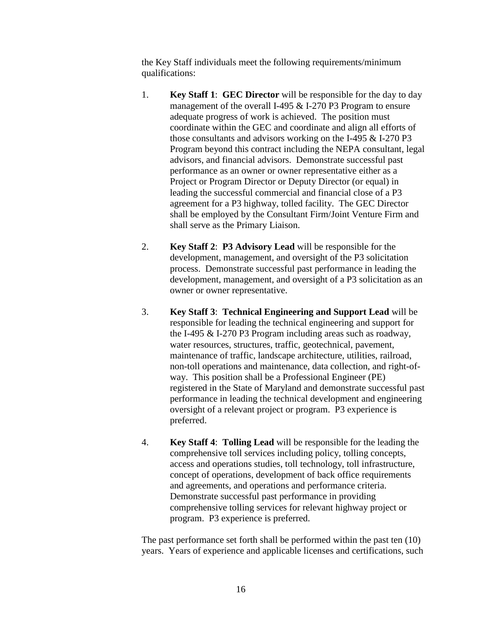the Key Staff individuals meet the following requirements/minimum qualifications:

- 1. **Key Staff 1**: **GEC Director** will be responsible for the day to day management of the overall I-495 & I-270 P3 Program to ensure adequate progress of work is achieved. The position must coordinate within the GEC and coordinate and align all efforts of those consultants and advisors working on the I-495 & I-270 P3 Program beyond this contract including the NEPA consultant, legal advisors, and financial advisors. Demonstrate successful past performance as an owner or owner representative either as a Project or Program Director or Deputy Director (or equal) in leading the successful commercial and financial close of a P3 agreement for a P3 highway, tolled facility. The GEC Director shall be employed by the Consultant Firm/Joint Venture Firm and shall serve as the Primary Liaison.
- 2. **Key Staff 2**: **P3 Advisory Lead** will be responsible for the development, management, and oversight of the P3 solicitation process. Demonstrate successful past performance in leading the development, management, and oversight of a P3 solicitation as an owner or owner representative.
- 3. **Key Staff 3**: **Technical Engineering and Support Lead** will be responsible for leading the technical engineering and support for the I-495 & I-270 P3 Program including areas such as roadway, water resources, structures, traffic, geotechnical, pavement, maintenance of traffic, landscape architecture, utilities, railroad, non-toll operations and maintenance, data collection, and right-ofway. This position shall be a Professional Engineer (PE) registered in the State of Maryland and demonstrate successful past performance in leading the technical development and engineering oversight of a relevant project or program. P3 experience is preferred.
- 4. **Key Staff 4**: **Tolling Lead** will be responsible for the leading the comprehensive toll services including policy, tolling concepts, access and operations studies, toll technology, toll infrastructure, concept of operations, development of back office requirements and agreements, and operations and performance criteria. Demonstrate successful past performance in providing comprehensive tolling services for relevant highway project or program. P3 experience is preferred.

The past performance set forth shall be performed within the past ten (10) years. Years of experience and applicable licenses and certifications, such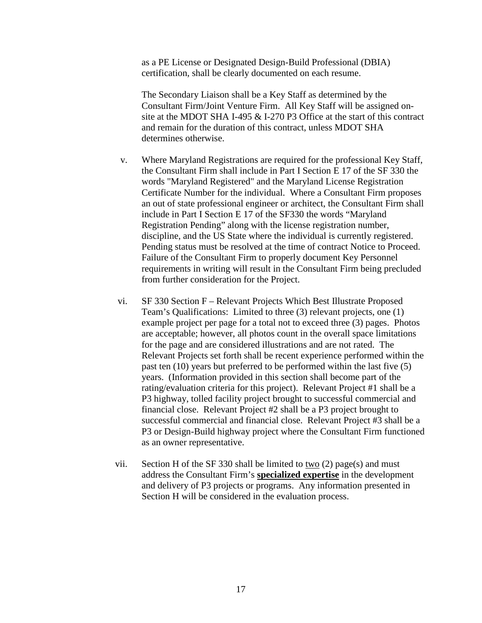as a PE License or Designated Design-Build Professional (DBIA) certification, shall be clearly documented on each resume.

The Secondary Liaison shall be a Key Staff as determined by the Consultant Firm/Joint Venture Firm. All Key Staff will be assigned onsite at the MDOT SHA I-495 & I-270 P3 Office at the start of this contract and remain for the duration of this contract, unless MDOT SHA determines otherwise.

- v. Where Maryland Registrations are required for the professional Key Staff, the Consultant Firm shall include in Part I Section E 17 of the SF 330 the words "Maryland Registered" and the Maryland License Registration Certificate Number for the individual. Where a Consultant Firm proposes an out of state professional engineer or architect, the Consultant Firm shall include in Part I Section E 17 of the SF330 the words "Maryland Registration Pending" along with the license registration number, discipline, and the US State where the individual is currently registered. Pending status must be resolved at the time of contract Notice to Proceed. Failure of the Consultant Firm to properly document Key Personnel requirements in writing will result in the Consultant Firm being precluded from further consideration for the Project.
- vi. SF 330 Section F Relevant Projects Which Best Illustrate Proposed Team's Qualifications: Limited to three (3) relevant projects, one (1) example project per page for a total not to exceed three (3) pages. Photos are acceptable; however, all photos count in the overall space limitations for the page and are considered illustrations and are not rated. The Relevant Projects set forth shall be recent experience performed within the past ten (10) years but preferred to be performed within the last five (5) years. (Information provided in this section shall become part of the rating/evaluation criteria for this project). Relevant Project #1 shall be a P3 highway, tolled facility project brought to successful commercial and financial close. Relevant Project #2 shall be a P3 project brought to successful commercial and financial close. Relevant Project #3 shall be a P3 or Design-Build highway project where the Consultant Firm functioned as an owner representative.
- vii. Section H of the SF 330 shall be limited to two  $(2)$  page(s) and must address the Consultant Firm's **specialized expertise** in the development and delivery of P3 projects or programs. Any information presented in Section H will be considered in the evaluation process.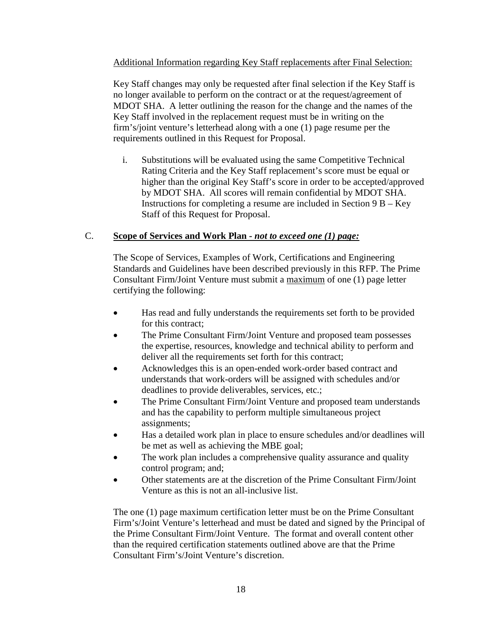## Additional Information regarding Key Staff replacements after Final Selection:

Key Staff changes may only be requested after final selection if the Key Staff is no longer available to perform on the contract or at the request/agreement of MDOT SHA. A letter outlining the reason for the change and the names of the Key Staff involved in the replacement request must be in writing on the firm's/joint venture's letterhead along with a one (1) page resume per the requirements outlined in this Request for Proposal.

i. Substitutions will be evaluated using the same Competitive Technical Rating Criteria and the Key Staff replacement's score must be equal or higher than the original Key Staff's score in order to be accepted/approved by MDOT SHA. All scores will remain confidential by MDOT SHA. Instructions for completing a resume are included in Section  $9B - Key$ Staff of this Request for Proposal.

## C. **Scope of Services and Work Plan** *- not to exceed one (1) page:*

The Scope of Services, Examples of Work, Certifications and Engineering Standards and Guidelines have been described previously in this RFP. The Prime Consultant Firm/Joint Venture must submit a maximum of one (1) page letter certifying the following:

- Has read and fully understands the requirements set forth to be provided for this contract;
- The Prime Consultant Firm/Joint Venture and proposed team possesses the expertise, resources, knowledge and technical ability to perform and deliver all the requirements set forth for this contract;
- Acknowledges this is an open-ended work-order based contract and understands that work-orders will be assigned with schedules and/or deadlines to provide deliverables, services, etc.;
- The Prime Consultant Firm/Joint Venture and proposed team understands and has the capability to perform multiple simultaneous project assignments;
- Has a detailed work plan in place to ensure schedules and/or deadlines will be met as well as achieving the MBE goal;
- The work plan includes a comprehensive quality assurance and quality control program; and;
- Other statements are at the discretion of the Prime Consultant Firm/Joint Venture as this is not an all-inclusive list.

The one (1) page maximum certification letter must be on the Prime Consultant Firm's/Joint Venture's letterhead and must be dated and signed by the Principal of the Prime Consultant Firm/Joint Venture. The format and overall content other than the required certification statements outlined above are that the Prime Consultant Firm's/Joint Venture's discretion.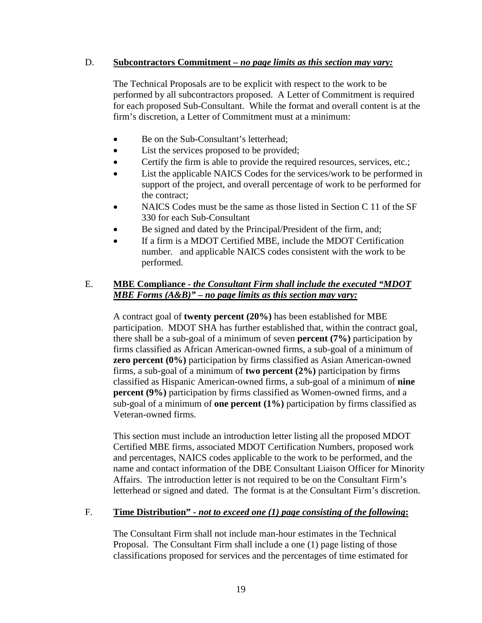#### D. **Subcontractors Commitment** *– no page limits as this section may vary:*

The Technical Proposals are to be explicit with respect to the work to be performed by all subcontractors proposed. A Letter of Commitment is required for each proposed Sub-Consultant. While the format and overall content is at the firm's discretion, a Letter of Commitment must at a minimum:

- Be on the Sub-Consultant's letterhead:
- List the services proposed to be provided;
- Certify the firm is able to provide the required resources, services, etc.;
- List the applicable NAICS Codes for the services/work to be performed in support of the project, and overall percentage of work to be performed for the contract;
- NAICS Codes must be the same as those listed in Section C 11 of the SF 330 for each Sub-Consultant
- Be signed and dated by the Principal/President of the firm, and;
- If a firm is a MDOT Certified MBE, include the MDOT Certification number. and applicable NAICS codes consistent with the work to be performed.

#### E. **MBE Compliance** *- the Consultant Firm shall include the executed "MDOT MBE Forms (A&B)" – no page limits as this section may vary:*

A contract goal of **twenty percent (20%)** has been established for MBE participation. MDOT SHA has further established that, within the contract goal, there shall be a sub-goal of a minimum of seven **percent (7%)** participation by firms classified as African American-owned firms, a sub-goal of a minimum of **zero percent (0%)** participation by firms classified as Asian American-owned firms, a sub-goal of a minimum of **two percent (2%)** participation by firms classified as Hispanic American-owned firms, a sub-goal of a minimum of **nine percent (9%)** participation by firms classified as Women-owned firms, and a sub-goal of a minimum of **one percent (1%)** participation by firms classified as Veteran-owned firms.

This section must include an introduction letter listing all the proposed MDOT Certified MBE firms, associated MDOT Certification Numbers, proposed work and percentages, NAICS codes applicable to the work to be performed, and the name and contact information of the DBE Consultant Liaison Officer for Minority Affairs. The introduction letter is not required to be on the Consultant Firm's letterhead or signed and dated. The format is at the Consultant Firm's discretion.

## F. **Time Distribution"** *- not to exceed one (1) page consisting of the following***:**

The Consultant Firm shall not include man-hour estimates in the Technical Proposal. The Consultant Firm shall include a one (1) page listing of those classifications proposed for services and the percentages of time estimated for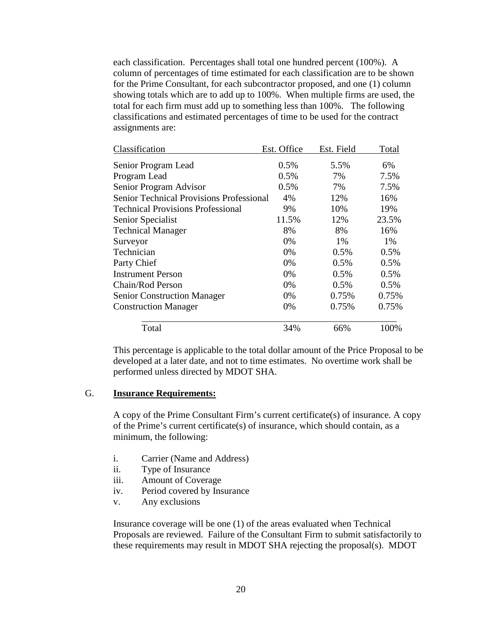each classification. Percentages shall total one hundred percent (100%). A column of percentages of time estimated for each classification are to be shown for the Prime Consultant, for each subcontractor proposed, and one (1) column showing totals which are to add up to 100%. When multiple firms are used, the total for each firm must add up to something less than 100%. The following classifications and estimated percentages of time to be used for the contract assignments are:

| Classification                                  | Est. Office | Est. Field | Total |
|-------------------------------------------------|-------------|------------|-------|
| Senior Program Lead                             | 0.5%        | 5.5%       | 6%    |
| Program Lead                                    | 0.5%        | 7%         | 7.5%  |
| Senior Program Advisor                          | 0.5%        | 7%         | 7.5%  |
| <b>Senior Technical Provisions Professional</b> | 4%          | 12%        | 16%   |
| <b>Technical Provisions Professional</b>        | 9%          | 10%        | 19%   |
| Senior Specialist                               | 11.5%       | 12%        | 23.5% |
| <b>Technical Manager</b>                        | 8%          | 8%         | 16%   |
| Surveyor                                        | 0%          | 1%         | 1%    |
| Technician                                      | 0%          | 0.5%       | 0.5%  |
| Party Chief                                     | 0%          | 0.5%       | 0.5%  |
| <b>Instrument Person</b>                        | 0%          | 0.5%       | 0.5%  |
| Chain/Rod Person                                | 0%          | 0.5%       | 0.5%  |
| <b>Senior Construction Manager</b>              | 0%          | 0.75%      | 0.75% |
| <b>Construction Manager</b>                     | 0%          | 0.75%      | 0.75% |
| Total                                           | 34%         | 66%        | 100%  |

This percentage is applicable to the total dollar amount of the Price Proposal to be developed at a later date, and not to time estimates. No overtime work shall be performed unless directed by MDOT SHA.

#### G. **Insurance Requirements:**

A copy of the Prime Consultant Firm's current certificate(s) of insurance. A copy of the Prime's current certificate(s) of insurance, which should contain, as a minimum, the following:

- i. Carrier (Name and Address)
- ii. Type of Insurance
- iii. Amount of Coverage
- iv. Period covered by Insurance
- v. Any exclusions

Insurance coverage will be one (1) of the areas evaluated when Technical Proposals are reviewed. Failure of the Consultant Firm to submit satisfactorily to these requirements may result in MDOT SHA rejecting the proposal(s). MDOT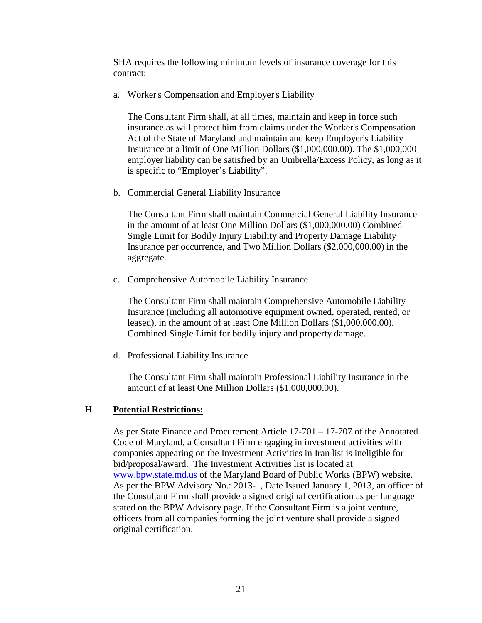SHA requires the following minimum levels of insurance coverage for this contract:

a. Worker's Compensation and Employer's Liability

The Consultant Firm shall, at all times, maintain and keep in force such insurance as will protect him from claims under the Worker's Compensation Act of the State of Maryland and maintain and keep Employer's Liability Insurance at a limit of One Million Dollars (\$1,000,000.00). The \$1,000,000 employer liability can be satisfied by an Umbrella/Excess Policy, as long as it is specific to "Employer's Liability".

b. Commercial General Liability Insurance

The Consultant Firm shall maintain Commercial General Liability Insurance in the amount of at least One Million Dollars (\$1,000,000.00) Combined Single Limit for Bodily Injury Liability and Property Damage Liability Insurance per occurrence, and Two Million Dollars (\$2,000,000.00) in the aggregate.

c. Comprehensive Automobile Liability Insurance

The Consultant Firm shall maintain Comprehensive Automobile Liability Insurance (including all automotive equipment owned, operated, rented, or leased), in the amount of at least One Million Dollars (\$1,000,000.00). Combined Single Limit for bodily injury and property damage.

d. Professional Liability Insurance

The Consultant Firm shall maintain Professional Liability Insurance in the amount of at least One Million Dollars (\$1,000,000.00).

#### H. **Potential Restrictions:**

As per State Finance and Procurement Article 17-701 – 17-707 of the Annotated Code of Maryland, a Consultant Firm engaging in investment activities with companies appearing on the Investment Activities in Iran list is ineligible for bid/proposal/award. The Investment Activities list is located at [www.bpw.state.md.us](http://www.bpw.state.md.us/) of the Maryland Board of Public Works (BPW) website. As per the BPW Advisory No.: 2013-1, Date Issued January 1, 2013, an officer of the Consultant Firm shall provide a signed original certification as per language stated on the BPW Advisory page. If the Consultant Firm is a joint venture, officers from all companies forming the joint venture shall provide a signed original certification.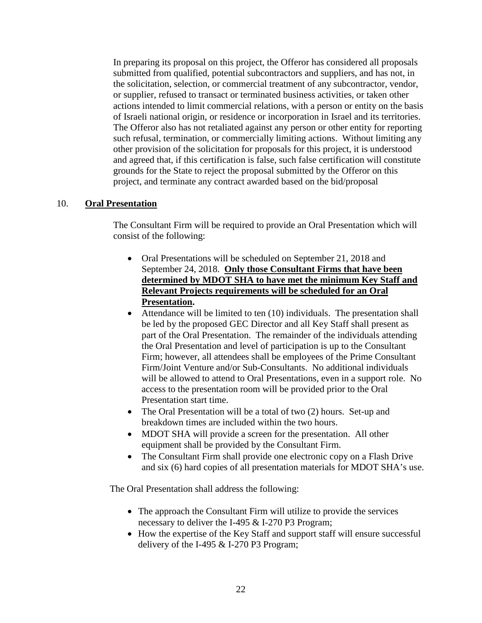In preparing its proposal on this project, the Offeror has considered all proposals submitted from qualified, potential subcontractors and suppliers, and has not, in the solicitation, selection, or commercial treatment of any subcontractor, vendor, or supplier, refused to transact or terminated business activities, or taken other actions intended to limit commercial relations, with a person or entity on the basis of Israeli national origin, or residence or incorporation in Israel and its territories. The Offeror also has not retaliated against any person or other entity for reporting such refusal, termination, or commercially limiting actions. Without limiting any other provision of the solicitation for proposals for this project, it is understood and agreed that, if this certification is false, such false certification will constitute grounds for the State to reject the proposal submitted by the Offeror on this project, and terminate any contract awarded based on the bid/proposal

#### 10. **Oral Presentation**

The Consultant Firm will be required to provide an Oral Presentation which will consist of the following:

- Oral Presentations will be scheduled on September 21, 2018 and September 24, 2018. **Only those Consultant Firms that have been determined by MDOT SHA to have met the minimum Key Staff and Relevant Projects requirements will be scheduled for an Oral Presentation.**
- Attendance will be limited to ten (10) individuals. The presentation shall be led by the proposed GEC Director and all Key Staff shall present as part of the Oral Presentation. The remainder of the individuals attending the Oral Presentation and level of participation is up to the Consultant Firm; however, all attendees shall be employees of the Prime Consultant Firm/Joint Venture and/or Sub-Consultants. No additional individuals will be allowed to attend to Oral Presentations, even in a support role. No access to the presentation room will be provided prior to the Oral Presentation start time.
- The Oral Presentation will be a total of two (2) hours. Set-up and breakdown times are included within the two hours.
- MDOT SHA will provide a screen for the presentation. All other equipment shall be provided by the Consultant Firm.
- The Consultant Firm shall provide one electronic copy on a Flash Drive and six (6) hard copies of all presentation materials for MDOT SHA's use.

The Oral Presentation shall address the following:

- The approach the Consultant Firm will utilize to provide the services necessary to deliver the I-495 & I-270 P3 Program;
- How the expertise of the Key Staff and support staff will ensure successful delivery of the I-495  $&$  I-270 P3 Program;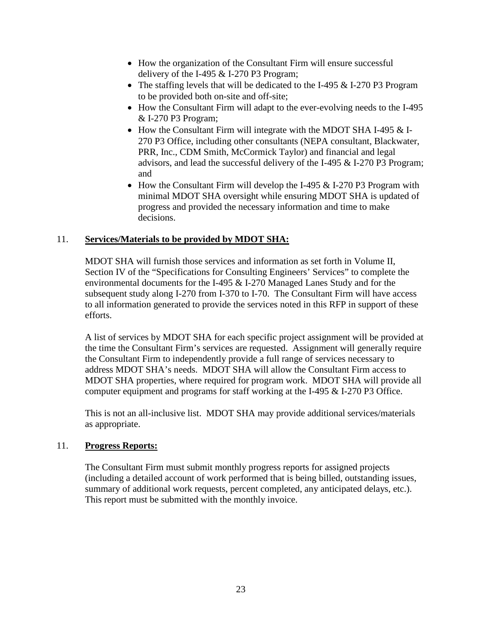- How the organization of the Consultant Firm will ensure successful delivery of the I-495  $&$  I-270 P3 Program;
- The staffing levels that will be dedicated to the I-495 & I-270 P3 Program to be provided both on-site and off-site;
- How the Consultant Firm will adapt to the ever-evolving needs to the I-495 & I-270 P3 Program;
- How the Consultant Firm will integrate with the MDOT SHA I-495 & I-270 P3 Office, including other consultants (NEPA consultant, Blackwater, PRR, Inc., CDM Smith, McCormick Taylor) and financial and legal advisors, and lead the successful delivery of the I-495 & I-270 P3 Program; and
- How the Consultant Firm will develop the I-495 & I-270 P3 Program with minimal MDOT SHA oversight while ensuring MDOT SHA is updated of progress and provided the necessary information and time to make decisions.

# 11. **Services/Materials to be provided by MDOT SHA:**

MDOT SHA will furnish those services and information as set forth in Volume II, Section IV of the "Specifications for Consulting Engineers' Services" to complete the environmental documents for the I-495 & I-270 Managed Lanes Study and for the subsequent study along I-270 from I-370 to I-70. The Consultant Firm will have access to all information generated to provide the services noted in this RFP in support of these efforts.

A list of services by MDOT SHA for each specific project assignment will be provided at the time the Consultant Firm's services are requested. Assignment will generally require the Consultant Firm to independently provide a full range of services necessary to address MDOT SHA's needs. MDOT SHA will allow the Consultant Firm access to MDOT SHA properties, where required for program work. MDOT SHA will provide all computer equipment and programs for staff working at the I-495 & I-270 P3 Office.

This is not an all-inclusive list. MDOT SHA may provide additional services/materials as appropriate.

## 11. **Progress Reports:**

The Consultant Firm must submit monthly progress reports for assigned projects (including a detailed account of work performed that is being billed, outstanding issues, summary of additional work requests, percent completed, any anticipated delays, etc.). This report must be submitted with the monthly invoice.